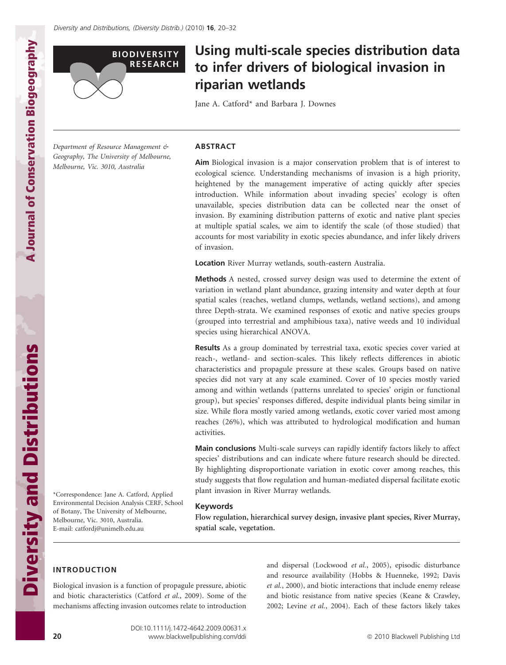

# Using multi-scale species distribution data to infer drivers of biological invasion in riparian wetlands

Jane A. Catford\* and Barbara J. Downes

**ABSTRACT** 

Department of Resource Management & Geography, The University of Melbourne, Melbourne, Vic. 3010, Australia

Aim Biological invasion is a major conservation problem that is of interest to ecological science. Understanding mechanisms of invasion is a high priority, heightened by the management imperative of acting quickly after species introduction. While information about invading species' ecology is often unavailable, species distribution data can be collected near the onset of invasion. By examining distribution patterns of exotic and native plant species at multiple spatial scales, we aim to identify the scale (of those studied) that accounts for most variability in exotic species abundance, and infer likely drivers of invasion.

Location River Murray wetlands, south-eastern Australia.

Methods A nested, crossed survey design was used to determine the extent of variation in wetland plant abundance, grazing intensity and water depth at four spatial scales (reaches, wetland clumps, wetlands, wetland sections), and among three Depth-strata. We examined responses of exotic and native species groups (grouped into terrestrial and amphibious taxa), native weeds and 10 individual species using hierarchical ANOVA.

Results As a group dominated by terrestrial taxa, exotic species cover varied at reach-, wetland- and section-scales. This likely reflects differences in abiotic characteristics and propagule pressure at these scales. Groups based on native species did not vary at any scale examined. Cover of 10 species mostly varied among and within wetlands (patterns unrelated to species' origin or functional group), but species' responses differed, despite individual plants being similar in size. While flora mostly varied among wetlands, exotic cover varied most among reaches (26%), which was attributed to hydrological modification and human activities.

Main conclusions Multi-scale surveys can rapidly identify factors likely to affect species' distributions and can indicate where future research should be directed. By highlighting disproportionate variation in exotic cover among reaches, this study suggests that flow regulation and human-mediated dispersal facilitate exotic plant invasion in River Murray wetlands.

## Keywords

Flow regulation, hierarchical survey design, invasive plant species, River Murray, spatial scale, vegetation.

\*Correspondence: Jane A. Catford, Applied Environmental Decision Analysis CERF, School of Botany, The University of Melbourne, Melbourne, Vic. 3010, Australia. E-mail: catfordj@unimelb.edu.au

# INTRODUCTION

Biological invasion is a function of propagule pressure, abiotic and biotic characteristics (Catford et al., 2009). Some of the mechanisms affecting invasion outcomes relate to introduction and dispersal (Lockwood et al., 2005), episodic disturbance and resource availability (Hobbs & Huenneke, 1992; Davis et al., 2000), and biotic interactions that include enemy release and biotic resistance from native species (Keane & Crawley, 2002; Levine et al., 2004). Each of these factors likely takes

Diversity and Distributions

Diversity and Distributions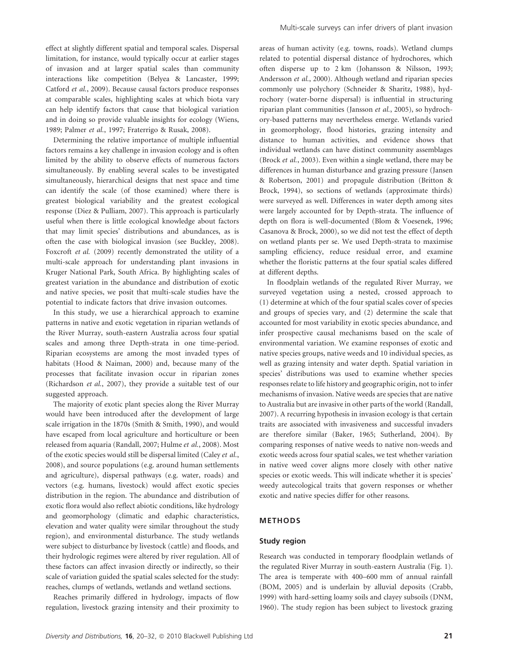effect at slightly different spatial and temporal scales. Dispersal limitation, for instance, would typically occur at earlier stages of invasion and at larger spatial scales than community interactions like competition (Belyea & Lancaster, 1999; Catford et al., 2009). Because causal factors produce responses at comparable scales, highlighting scales at which biota vary can help identify factors that cause that biological variation and in doing so provide valuable insights for ecology (Wiens, 1989; Palmer et al., 1997; Fraterrigo & Rusak, 2008).

Determining the relative importance of multiple influential factors remains a key challenge in invasion ecology and is often limited by the ability to observe effects of numerous factors simultaneously. By enabling several scales to be investigated simultaneously, hierarchical designs that nest space and time can identify the scale (of those examined) where there is greatest biological variability and the greatest ecological response (Diez & Pulliam, 2007). This approach is particularly useful when there is little ecological knowledge about factors that may limit species' distributions and abundances, as is often the case with biological invasion (see Buckley, 2008). Foxcroft et al. (2009) recently demonstrated the utility of a multi-scale approach for understanding plant invasions in Kruger National Park, South Africa. By highlighting scales of greatest variation in the abundance and distribution of exotic and native species, we posit that multi-scale studies have the potential to indicate factors that drive invasion outcomes.

In this study, we use a hierarchical approach to examine patterns in native and exotic vegetation in riparian wetlands of the River Murray, south-eastern Australia across four spatial scales and among three Depth-strata in one time-period. Riparian ecosystems are among the most invaded types of habitats (Hood & Naiman, 2000) and, because many of the processes that facilitate invasion occur in riparian zones (Richardson et al., 2007), they provide a suitable test of our suggested approach.

The majority of exotic plant species along the River Murray would have been introduced after the development of large scale irrigation in the 1870s (Smith & Smith, 1990), and would have escaped from local agriculture and horticulture or been released from aquaria (Randall, 2007; Hulme et al., 2008). Most of the exotic species would still be dispersal limited (Caley et al., 2008), and source populations (e.g. around human settlements and agriculture), dispersal pathways (e.g. water, roads) and vectors (e.g. humans, livestock) would affect exotic species distribution in the region. The abundance and distribution of exotic flora would also reflect abiotic conditions, like hydrology and geomorphology (climatic and edaphic characteristics, elevation and water quality were similar throughout the study region), and environmental disturbance. The study wetlands were subject to disturbance by livestock (cattle) and floods, and their hydrologic regimes were altered by river regulation. All of these factors can affect invasion directly or indirectly, so their scale of variation guided the spatial scales selected for the study: reaches, clumps of wetlands, wetlands and wetland sections.

Reaches primarily differed in hydrology, impacts of flow regulation, livestock grazing intensity and their proximity to areas of human activity (e.g. towns, roads). Wetland clumps related to potential dispersal distance of hydrochores, which often disperse up to 2 km (Johansson & Nilsson, 1993; Andersson et al., 2000). Although wetland and riparian species commonly use polychory (Schneider & Sharitz, 1988), hydrochory (water-borne dispersal) is influential in structuring riparian plant communities (Jansson et al., 2005), so hydrochory-based patterns may nevertheless emerge. Wetlands varied in geomorphology, flood histories, grazing intensity and distance to human activities, and evidence shows that individual wetlands can have distinct community assemblages (Brock et al., 2003). Even within a single wetland, there may be differences in human disturbance and grazing pressure (Jansen & Robertson, 2001) and propagule distribution (Britton & Brock, 1994), so sections of wetlands (approximate thirds) were surveyed as well. Differences in water depth among sites were largely accounted for by Depth-strata. The influence of depth on flora is well-documented (Blom & Voesenek, 1996; Casanova & Brock, 2000), so we did not test the effect of depth on wetland plants per se. We used Depth-strata to maximise sampling efficiency, reduce residual error, and examine whether the floristic patterns at the four spatial scales differed at different depths.

In floodplain wetlands of the regulated River Murray, we surveyed vegetation using a nested, crossed approach to (1) determine at which of the four spatial scales cover of species and groups of species vary, and (2) determine the scale that accounted for most variability in exotic species abundance, and infer prospective causal mechanisms based on the scale of environmental variation. We examine responses of exotic and native species groups, native weeds and 10 individual species, as well as grazing intensity and water depth. Spatial variation in species' distributions was used to examine whether species responses relate to life history and geographic origin, not to infer mechanisms of invasion. Native weeds are species that are native to Australia but are invasive in other parts of the world (Randall, 2007). A recurring hypothesis in invasion ecology is that certain traits are associated with invasiveness and successful invaders are therefore similar (Baker, 1965; Sutherland, 2004). By comparing responses of native weeds to native non-weeds and exotic weeds across four spatial scales, we test whether variation in native weed cover aligns more closely with other native species or exotic weeds. This will indicate whether it is species' weedy autecological traits that govern responses or whether exotic and native species differ for other reasons.

## METHODS

## Study region

Research was conducted in temporary floodplain wetlands of the regulated River Murray in south-eastern Australia (Fig. 1). The area is temperate with 400–600 mm of annual rainfall (BOM, 2005) and is underlain by alluvial deposits (Crabb, 1999) with hard-setting loamy soils and clayey subsoils (DNM, 1960). The study region has been subject to livestock grazing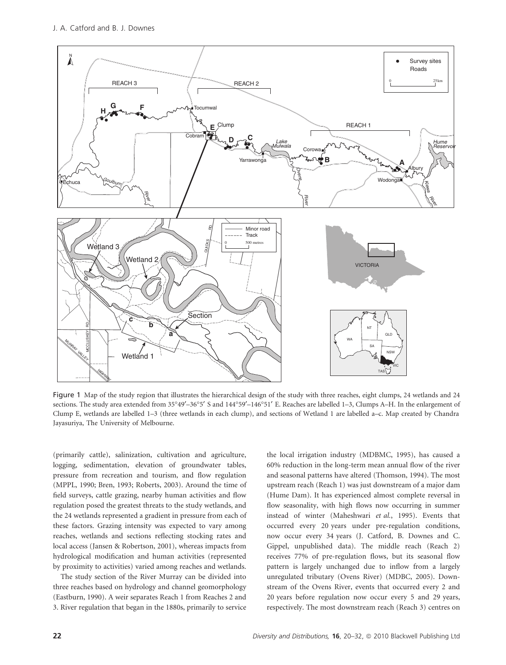

Figure 1 Map of the study region that illustrates the hierarchical design of the study with three reaches, eight clumps, 24 wetlands and 24 sections. The study area extended from 35°49′–36°5′ S and 144°59′–146°51′ E. Reaches are labelled 1–3, Clumps A–H. In the enlargement of Clump E, wetlands are labelled 1–3 (three wetlands in each clump), and sections of Wetland 1 are labelled a–c. Map created by Chandra Jayasuriya, The University of Melbourne.

(primarily cattle), salinization, cultivation and agriculture, logging, sedimentation, elevation of groundwater tables, pressure from recreation and tourism, and flow regulation (MPPL, 1990; Bren, 1993; Roberts, 2003). Around the time of field surveys, cattle grazing, nearby human activities and flow regulation posed the greatest threats to the study wetlands, and the 24 wetlands represented a gradient in pressure from each of these factors. Grazing intensity was expected to vary among reaches, wetlands and sections reflecting stocking rates and local access (Jansen & Robertson, 2001), whereas impacts from hydrological modification and human activities (represented by proximity to activities) varied among reaches and wetlands.

The study section of the River Murray can be divided into three reaches based on hydrology and channel geomorphology (Eastburn, 1990). A weir separates Reach 1 from Reaches 2 and 3. River regulation that began in the 1880s, primarily to service the local irrigation industry (MDBMC, 1995), has caused a 60% reduction in the long-term mean annual flow of the river and seasonal patterns have altered (Thomson, 1994). The most upstream reach (Reach 1) was just downstream of a major dam (Hume Dam). It has experienced almost complete reversal in flow seasonality, with high flows now occurring in summer instead of winter (Maheshwari et al., 1995). Events that occurred every 20 years under pre-regulation conditions, now occur every 34 years (J. Catford, B. Downes and C. Gippel, unpublished data). The middle reach (Reach 2) receives 77% of pre-regulation flows, but its seasonal flow pattern is largely unchanged due to inflow from a largely unregulated tributary (Ovens River) (MDBC, 2005). Downstream of the Ovens River, events that occurred every 2 and 20 years before regulation now occur every 5 and 29 years, respectively. The most downstream reach (Reach 3) centres on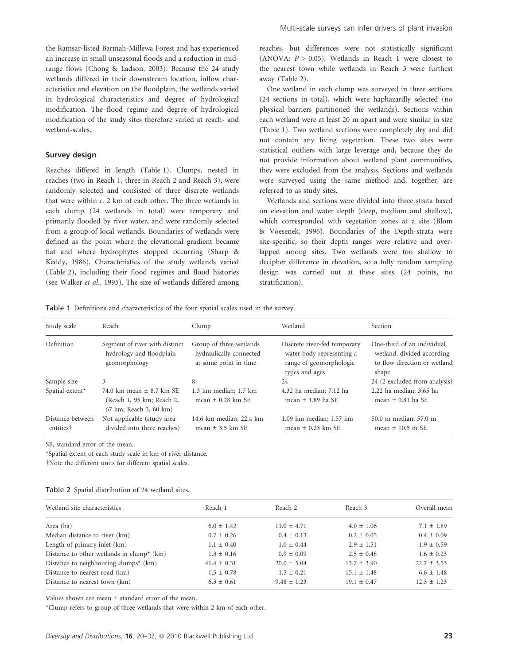the Ramsar-listed Barmah-Millewa Forest and has experienced an increase in small unseasonal floods and a reduction in midrange flows (Chong & Ladson, 2003). Because the 24 study wetlands differed in their downstream location, inflow characteristics and elevation on the floodplain, the wetlands varied in hydrological characteristics and degree of hydrological modification. The flood regime and degree of hydrological modification of the study sites therefore varied at reach- and wetland-scales.

#### Survey design

Reaches differed in length (Table 1). Clumps, nested in reaches (two in Reach 1, three in Reach 2 and Reach 3), were randomly selected and consisted of three discrete wetlands that were within c. 2 km of each other. The three wetlands in each clump (24 wetlands in total) were temporary and primarily flooded by river water, and were randomly selected from a group of local wetlands. Boundaries of wetlands were defined as the point where the elevational gradient became flat and where hydrophytes stopped occurring (Sharp & Keddy, 1986). Characteristics of the study wetlands varied (Table 2), including their flood regimes and flood histories (see Walker et al., 1995). The size of wetlands differed among reaches, but differences were not statistically significant (ANOVA:  $P > 0.05$ ). Wetlands in Reach 1 were closest to the nearest town while wetlands in Reach 3 were furthest away (Table 2).

One wetland in each clump was surveyed in three sections (24 sections in total), which were haphazardly selected (no physical barriers partitioned the wetlands). Sections within each wetland were at least 20 m apart and were similar in size (Table 1). Two wetland sections were completely dry and did not contain any living vegetation. These two sites were statistical outliers with large leverage and, because they do not provide information about wetland plant communities, they were excluded from the analysis. Sections and wetlands were surveyed using the same method and, together, are referred to as study sites.

Wetlands and sections were divided into three strata based on elevation and water depth (deep, medium and shallow), which corresponded with vegetation zones at a site (Blom & Voesenek, 1996). Boundaries of the Depth-strata were site-specific, so their depth ranges were relative and overlapped among sites. Two wetlands were too shallow to decipher difference in elevation, so a fully random sampling design was carried out at these sites (24 points, no stratification).

|  | Table 1 Definitions and characteristics of the four spatial scales used in the survey. |  |  |  |  |  |  |
|--|----------------------------------------------------------------------------------------|--|--|--|--|--|--|
|--|----------------------------------------------------------------------------------------|--|--|--|--|--|--|

| Study scale                   | Reach                                                                            | Clump                                                                       | Wetland                                                                                                | Section                                                                                           |
|-------------------------------|----------------------------------------------------------------------------------|-----------------------------------------------------------------------------|--------------------------------------------------------------------------------------------------------|---------------------------------------------------------------------------------------------------|
| Definition                    | Segment of river with distinct<br>hydrology and floodplain<br>geomorphology      | Group of three wetlands<br>hydraulically connected<br>at some point in time | Discrete river-fed temporary<br>water body representing a<br>range of geomorphologic<br>types and ages | One-third of an individual<br>wetland, divided according<br>to flow direction or wetland<br>shape |
| Sample size                   | 3                                                                                | 8                                                                           | 24                                                                                                     | 24 (2 excluded from analysis)                                                                     |
| Spatial extent*               | 74.0 km mean $+8.7$ km SE<br>(Reach 1, 95 km; Reach 2,<br>67 km; Reach 3, 60 km) | 1.3 km median; 1.7 km<br>mean $+$ 0.28 km SE                                | 4.32 ha median; 7.12 ha<br>mean $+1.89$ ha SE                                                          | 2.22 ha median; 3.65 ha<br>mean $+$ 0.81 ha SE                                                    |
| Distance between<br>entities† | Not applicable (study area<br>divided into three reaches)                        | 14.6 km median; 22.4 km<br>mean $+3.5$ km SE                                | 1.09 km median; 1.57 km<br>mean $\pm$ 0.23 km SE                                                       | 50.0 m median; 57.0 m<br>mean $\pm$ 10.5 m SE                                                     |

SE, standard error of the mean.

\*Spatial extent of each study scale in km of river distance.

-Note the different units for different spatial scales.

|  |  | Table 2 Spatial distribution of 24 wetland sites. |  |  |  |
|--|--|---------------------------------------------------|--|--|--|
|--|--|---------------------------------------------------|--|--|--|

| Wetland site characteristics                      | Reach 1         | Reach 2         | Reach 3         | Overall mean    |
|---------------------------------------------------|-----------------|-----------------|-----------------|-----------------|
| Area (ha)                                         | $6.0 \pm 1.42$  | $11.0 \pm 4.71$ | $4.0 \pm 1.06$  | $7.1 \pm 1.89$  |
| Median distance to river (km)                     | $0.7 \pm 0.26$  | $0.4 \pm 0.13$  | $0.2 \pm 0.05$  | $0.4 \pm 0.09$  |
| Length of primary inlet (km)                      | $1.1 \pm 0.40$  | $1.0 \pm 0.44$  | $2.9 \pm 1.51$  | $1.9 \pm 0.59$  |
| Distance to other wetlands in clump* $(km)$       | $1.3 \pm 0.16$  | $0.9 \pm 0.09$  | $2.5 \pm 0.48$  | $1.6 \pm 0.23$  |
| Distance to neighbouring clumps <sup>*</sup> (km) | $41.4 \pm 0.31$ | $20.0 \pm 5.04$ | $13.7 \pm 3.90$ | $22.7 \pm 3.53$ |
| Distance to nearest road (km)                     | $1.5 \pm 0.78$  | $1.5 \pm 0.21$  | $15.1 \pm 1.48$ | $6.6 \pm 1.48$  |
| Distance to nearest town (km)                     | $6.3 \pm 0.61$  | $9.48 \pm 1.23$ | $19.1 \pm 0.47$ | $12.3 \pm 1.23$ |
|                                                   |                 |                 |                 |                 |

Values shown are mean  $\pm$  standard error of the mean.

\*Clump refers to group of three wetlands that were within 2 km of each other.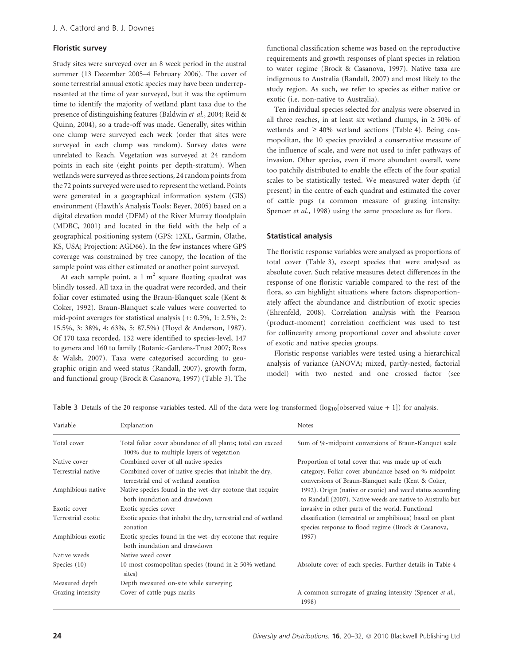## Floristic survey

Study sites were surveyed over an 8 week period in the austral summer (13 December 2005–4 February 2006). The cover of some terrestrial annual exotic species may have been underrepresented at the time of year surveyed, but it was the optimum time to identify the majority of wetland plant taxa due to the presence of distinguishing features (Baldwin et al., 2004; Reid & Quinn, 2004), so a trade-off was made. Generally, sites within one clump were surveyed each week (order that sites were surveyed in each clump was random). Survey dates were unrelated to Reach. Vegetation was surveyed at 24 random points in each site (eight points per depth-stratum). When wetlands were surveyed as three sections, 24 random points from the 72 points surveyed were used to represent the wetland. Points were generated in a geographical information system (GIS) environment (Hawth's Analysis Tools: Beyer, 2005) based on a digital elevation model (DEM) of the River Murray floodplain (MDBC, 2001) and located in the field with the help of a geographical positioning system (GPS: 12XL, Garmin, Olathe, KS, USA; Projection: AGD66). In the few instances where GPS coverage was constrained by tree canopy, the location of the sample point was either estimated or another point surveyed.

At each sample point, a 1  $m<sup>2</sup>$  square floating quadrat was blindly tossed. All taxa in the quadrat were recorded, and their foliar cover estimated using the Braun-Blanquet scale (Kent & Coker, 1992). Braun-Blanquet scale values were converted to mid-point averages for statistical analysis (+: 0.5%, 1: 2.5%, 2: 15.5%, 3: 38%, 4: 63%, 5: 87.5%) (Floyd & Anderson, 1987). Of 170 taxa recorded, 132 were identified to species-level, 147 to genera and 160 to family (Botanic-Gardens-Trust 2007; Ross & Walsh, 2007). Taxa were categorised according to geographic origin and weed status (Randall, 2007), growth form, and functional group (Brock & Casanova, 1997) (Table 3). The functional classification scheme was based on the reproductive requirements and growth responses of plant species in relation to water regime (Brock & Casanova, 1997). Native taxa are indigenous to Australia (Randall, 2007) and most likely to the study region. As such, we refer to species as either native or exotic (i.e. non-native to Australia).

Ten individual species selected for analysis were observed in all three reaches, in at least six wetland clumps, in  $\geq 50\%$  of wetlands and  $\geq 40\%$  wetland sections (Table 4). Being cosmopolitan, the 10 species provided a conservative measure of the influence of scale, and were not used to infer pathways of invasion. Other species, even if more abundant overall, were too patchily distributed to enable the effects of the four spatial scales to be statistically tested. We measured water depth (if present) in the centre of each quadrat and estimated the cover of cattle pugs (a common measure of grazing intensity: Spencer *et al.*, 1998) using the same procedure as for flora.

#### Statistical analysis

The floristic response variables were analysed as proportions of total cover (Table 3), except species that were analysed as absolute cover. Such relative measures detect differences in the response of one floristic variable compared to the rest of the flora, so can highlight situations where factors disproportionately affect the abundance and distribution of exotic species (Ehrenfeld, 2008). Correlation analysis with the Pearson (product-moment) correlation coefficient was used to test for collinearity among proportional cover and absolute cover of exotic and native species groups.

Floristic response variables were tested using a hierarchical analysis of variance (ANOVA; mixed, partly-nested, factorial model) with two nested and one crossed factor (see

| Variable           | Explanation                                                                                               | <b>Notes</b>                                                                                                              |
|--------------------|-----------------------------------------------------------------------------------------------------------|---------------------------------------------------------------------------------------------------------------------------|
| Total cover        | Total foliar cover abundance of all plants; total can exceed<br>100% due to multiple layers of vegetation | Sum of %-midpoint conversions of Braun-Blanquet scale                                                                     |
| Native cover       | Combined cover of all native species                                                                      | Proportion of total cover that was made up of each                                                                        |
| Terrestrial native | Combined cover of native species that inhabit the dry,<br>terrestrial end of wetland zonation             | category. Foliar cover abundance based on %-midpoint<br>conversions of Braun-Blanquet scale (Kent & Coker,                |
| Amphibious native  | Native species found in the wet-dry ecotone that require<br>both inundation and drawdown                  | 1992). Origin (native or exotic) and weed status according<br>to Randall (2007). Native weeds are native to Australia but |
| Exotic cover       | Exotic species cover                                                                                      | invasive in other parts of the world. Functional                                                                          |
| Terrestrial exotic | Exotic species that inhabit the dry, terrestrial end of wetland<br>zonation                               | classification (terrestrial or amphibious) based on plant<br>species response to flood regime (Brock & Casanova,          |
| Amphibious exotic  | Exotic species found in the wet-dry ecotone that require<br>both inundation and drawdown                  | 1997)                                                                                                                     |
| Native weeds       | Native weed cover                                                                                         |                                                                                                                           |
| Species $(10)$     | 10 most cosmopolitan species (found in $\geq$ 50% wetland<br>sites)                                       | Absolute cover of each species. Further details in Table 4                                                                |
| Measured depth     | Depth measured on-site while surveying                                                                    |                                                                                                                           |
| Grazing intensity  | Cover of cattle pugs marks                                                                                | A common surrogate of grazing intensity (Spencer et al.,<br>1998)                                                         |

**Table 3** Details of the 20 response variables tested. All of the data were log-transformed (log<sub>10</sub>[observed value + 1]) for analysis.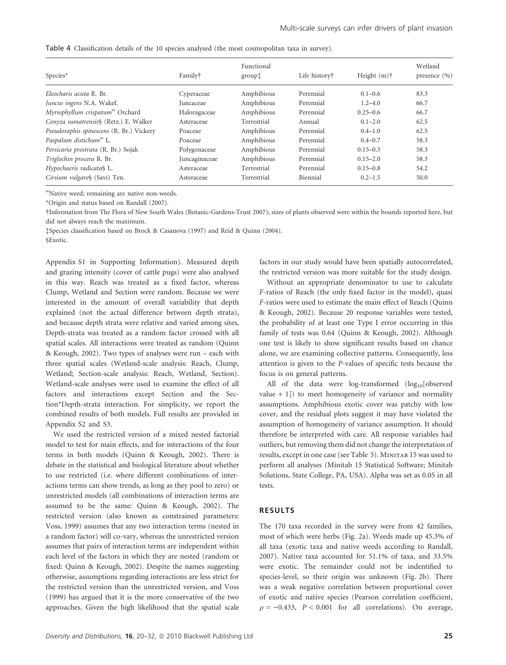|  |  |  |  |  |  |  |  | <b>Table 4</b> Classification details of the 10 species analysed (the most cosmopolitan taxa in survey). |
|--|--|--|--|--|--|--|--|----------------------------------------------------------------------------------------------------------|
|--|--|--|--|--|--|--|--|----------------------------------------------------------------------------------------------------------|

| Species*                                    | Family†          | Functional<br>$group^{\dagger}$ | Life history† | Height $(m)$ † | Wetland<br>presence $(\% )$ |
|---------------------------------------------|------------------|---------------------------------|---------------|----------------|-----------------------------|
|                                             |                  |                                 |               |                |                             |
| Eleocharis acuta R. Br.                     | Cyperaceae       | Amphibious                      | Perennial     | $0.1 - 0.6$    | 83.3                        |
| Juncus ingens N.A. Wakef.                   | <b>Iuncaceae</b> | Amphibious                      | Perennial     | $1.2 - 4.0$    | 66.7                        |
| Myriophyllum crispatum <sup>w</sup> Orchard | Haloragaceae     | Amphibious                      | Perennial     | $0.25 - 0.6$   | 66.7                        |
| Conyza sumatrensis§ (Retz.) E. Walker       | Asteraceae       | Terrestrial                     | Annual        | $0.1 - 2.0$    | 62.5                        |
| Pseudoraphis spinescens (R. Br.) Vickery    | Poaceae          | Amphibious                      | Perennial     | $0.4 - 1.0$    | 62.5                        |
| Paspalum distichum $W$ L.                   | Poaceae          | Amphibious                      | Perennial     | $0.4 - 0.7$    | 58.3                        |
| Persicaria prostrata (R. Br.) Sojak         | Polygonaceae     | Amphibious                      | Perennial     | $0.15 - 0.3$   | 58.3                        |
| Triglochin procera R. Br.                   | Juncaginaceae    | Amphibious                      | Perennial     | $0.15 - 2.0$   | 58.3                        |
| Hypochaeris radicata§ L.                    | Asteraceae       | Terrestrial                     | Perennial     | $0.15 - 0.8$   | 54.2                        |
| Cirsium vulgare§ (Savi) Ten.                | Asteraceae       | Terrestrial                     | Biennial      | $0.2 - 1.5$    | 50.0                        |

wNative weed; remaining are native non-weeds.

\*Origin and status based on Randall (2007).

-Information from The Flora of New South Wales (Botanic-Gardens-Trust 2007); sizes of plants observed were within the bounds reported here, but did not always reach the maximum.

Species classification based on Brock & Casanova (1997) and Reid & Quinn (2004).

§Exotic.

Appendix S1 in Supporting Information). Measured depth and grazing intensity (cover of cattle pugs) were also analysed in this way. Reach was treated as a fixed factor, whereas Clump, Wetland and Section were random. Because we were interested in the amount of overall variability that depth explained (not the actual difference between depth strata), and because depth strata were relative and varied among sites, Depth-strata was treated as a random factor crossed with all spatial scales. All interactions were treated as random (Quinn & Keough, 2002). Two types of analyses were run – each with three spatial scales (Wetland-scale analysis: Reach, Clump, Wetland; Section-scale analysis: Reach, Wetland, Section). Wetland-scale analyses were used to examine the effect of all factors and interactions except Section and the Section\*Depth-strata interaction. For simplicity, we report the combined results of both models. Full results are provided in Appendix S2 and S3.

We used the restricted version of a mixed nested factorial model to test for main effects, and for interactions of the four terms in both models (Quinn & Keough, 2002). There is debate in the statistical and biological literature about whether to use restricted (i.e. where different combinations of interactions terms can show trends, as long as they pool to zero) or unrestricted models (all combinations of interaction terms are assumed to be the same: Quinn & Keough, 2002). The restricted version (also known as constrained parameters: Voss, 1999) assumes that any two interaction terms (nested in a random factor) will co-vary, whereas the unrestricted version assumes that pairs of interaction terms are independent within each level of the factors in which they are nested (random or fixed: Quinn & Keough, 2002). Despite the names suggesting otherwise, assumptions regarding interactions are less strict for the restricted version than the unrestricted version, and Voss (1999) has argued that it is the more conservative of the two approaches. Given the high likelihood that the spatial scale factors in our study would have been spatially autocorrelated, the restricted version was more suitable for the study design.

Without an appropriate denominator to use to calculate F-ratios of Reach (the only fixed factor in the model), quasi F-ratios were used to estimate the main effect of Reach (Quinn & Keough, 2002). Because 20 response variables were tested, the probability of at least one Type I error occurring in this family of tests was 0.64 (Quinn & Keough, 2002). Although one test is likely to show significant results based on chance alone, we are examining collective patterns. Consequently, less attention is given to the P-values of specific tests because the focus is on general patterns.

All of the data were log-transformed  $(log_{10} [observed$ value  $+ 1$ ]) to meet homogeneity of variance and normality assumptions. Amphibious exotic cover was patchy with low cover, and the residual plots suggest it may have violated the assumption of homogeneity of variance assumption. It should therefore be interpreted with care. All response variables had outliers, but removing them did not change the interpretation of results, except in one case (see Table 5). MINITAB 15 was used to perform all analyses (Minitab 15 Statistical Software; Minitab Solutions, State College, PA, USA). Alpha was set as 0.05 in all tests.

## RESULTS

The 170 taxa recorded in the survey were from 42 families, most of which were herbs (Fig. 2a). Weeds made up 45.3% of all taxa (exotic taxa and native weeds according to Randall, 2007). Native taxa accounted for 51.1% of taxa, and 33.5% were exotic. The remainder could not be indentified to species-level, so their origin was unknown (Fig. 2b). There was a weak negative correlation between proportional cover of exotic and native species (Pearson correlation coefficient,  $\rho = -0.433$ ,  $P < 0.001$  for all correlations). On average,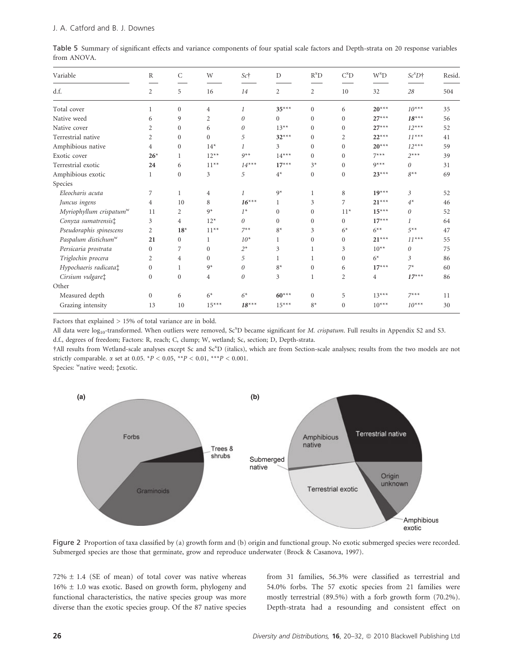| Variable                            | R              | C              | W              | Sc†      | D              | $R^xD$       | $C^{x}D$       | $W^xD$    | $Sc^{x}D\dagger$ | <b>Resid</b> |
|-------------------------------------|----------------|----------------|----------------|----------|----------------|--------------|----------------|-----------|------------------|--------------|
| d.f.                                | $\overline{2}$ | 5              | 16             | 14       | 2              | 2            | 10             | 32        | 28               | 504          |
| Total cover                         | 1              | $\mathbf{0}$   | $\overline{4}$ | 1        | $35***$        | $\theta$     | 6              | $20***$   | $10^{***}$       | 35           |
| Native weed                         | 6              | 9              | $\overline{2}$ | 0        | $\mathbf{0}$   | $\mathbf{0}$ | $\mathbf{0}$   | $27***$   | $18***$          | 56           |
| Native cover                        | 2              | $\Omega$       | 6              | $\theta$ | $13***$        | $\Omega$     | $\Omega$       | $27***$   | $12***$          | 52           |
| Terrestrial native                  | $\overline{2}$ | $\Omega$       | $\overline{0}$ | 5        | $32***$        | $\theta$     | $\overline{2}$ | $22***$   | $11***$          | 41           |
| Amphibious native                   | 4              | $\mathbf{0}$   | $14*$          | 1        | 3              | $\mathbf{0}$ | $\mathbf{0}$   | $20***$   | $12***$          | 59           |
| Exotic cover                        | $26*$          | 1              | $12**$         | $9**$    | $14***$        | $\Omega$     | $\Omega$       | $7***$    | $2***$           | 39           |
| Terrestrial exotic                  | 24             | 6              | $11***$        | $14***$  | $17***$        | $3*$         | $\Omega$       | $9***$    | $\theta$         | 31           |
| Amphibious exotic                   | $\mathbf{1}$   | $\mathbf{0}$   | 3              | 5        | $4^*$          | $\mathbf{0}$ | $\mathbf{0}$   | $23***$   | $8***$           | 69           |
| Species                             |                |                |                |          |                |              |                |           |                  |              |
| Eleocharis acuta                    | 7              | 1              | $\overline{4}$ | 1        | $9*$           | 1            | 8              | $19***$   | 3                | 52           |
| Juncus ingens                       | $\overline{4}$ | 10             | 8              | $16***$  | $\mathbf{1}$   | 3            | 7              | $21***$   | $4^*$            | 46           |
| Myriophyllum crispatum <sup>w</sup> | 11             | $\overline{2}$ | $9*$           | $1*$     | $\Omega$       | $\theta$     | $11*$          | $15***$   | $\theta$         | 52           |
| Conyza sumatrensis:                 | $\mathfrak{Z}$ | $\overline{4}$ | $12*$          | $\theta$ | $\overline{0}$ | $\mathbf{0}$ | $\overline{0}$ | $17***$   | $\mathcal{I}$    | 64           |
| Pseudoraphis spinescens             | $\overline{2}$ | $18*$          | $11***$        | $7^{**}$ | $8*$           | 3            | $6*$           | $6***$    | $.5***$          | 47           |
| Paspalum distichum <sup>w</sup>     | 21             | $\overline{0}$ | 1              | $10^*$   | 1              | $\mathbf{0}$ | $\mathbf{0}$   | $21***$   | $11***$          | 55           |
| Persicaria prostrata                | $\overline{0}$ | 7              | $\mathbf{0}$   | $2^*$    | 3              | 1            | 3              | $10^{**}$ | $\theta$         | 75           |
| Triglochin procera                  | $\overline{2}$ | $\overline{4}$ | $\theta$       | 5        | $\mathbf{1}$   | 1            | $\Omega$       | $6*$      | 3                | 86           |
| Hypochaeris radicata‡               | $\mathbf{0}$   | $\mathbf{1}$   | $9*$           | $\theta$ | $8*$           | $\theta$     | 6              | $17***$   | $7^*$            | 60           |
| Cirsium vulgare‡                    | $\mathbf{0}$   | $\mathbf{0}$   | $\overline{4}$ | 0        | 3              | 1            | $\overline{2}$ | 4         | $17***$          | 86           |
| Other                               |                |                |                |          |                |              |                |           |                  |              |
| Measured depth                      | $\mathbf{0}$   | 6              | $6*$           | $6^*$    | $60***$        | $\Omega$     | 5              | $13***$   | $7***$           | 11           |
| Grazing intensity                   | 13             | 10             | $15***$        | $18***$  | $15***$        | $8*$         | $\Omega$       | $10***$   | $10^{***}$       | 30           |

Table 5 Summary of significant effects and variance components of four spatial scale factors and Depth-strata on 20 response variables from ANOVA.

Factors that explained > 15% of total variance are in bold.

All data were log<sub>10</sub>-transformed. When outliers were removed, Sc<sup>x</sup>D became significant for *M. crispatum*. Full results in Appendix S2 and S3. d.f., degrees of freedom; Factors: R, reach; C, clump; W, wetland; Sc, section; D, Depth-strata.

†All results from Wetland-scale analyses except Sc and Sc<sup>x</sup>D (italics), which are from Section-scale analyses; results from the two models are not strictly comparable.  $\alpha$  set at 0.05.  $*P < 0.05$ ,  $*P < 0.01$ ,  $*+P < 0.001$ .

Species: "native weed; texotic.



Figure 2 Proportion of taxa classified by (a) growth form and (b) origin and functional group. No exotic submerged species were recorded. Submerged species are those that germinate, grow and reproduce underwater (Brock & Casanova, 1997).

 $72\% \pm 1.4$  (SE of mean) of total cover was native whereas  $16\% \pm 1.0$  was exotic. Based on growth form, phylogeny and functional characteristics, the native species group was more diverse than the exotic species group. Of the 87 native species from 31 families, 56.3% were classified as terrestrial and 54.0% forbs. The 57 exotic species from 21 families were mostly terrestrial (89.5%) with a forb growth form (70.2%). Depth-strata had a resounding and consistent effect on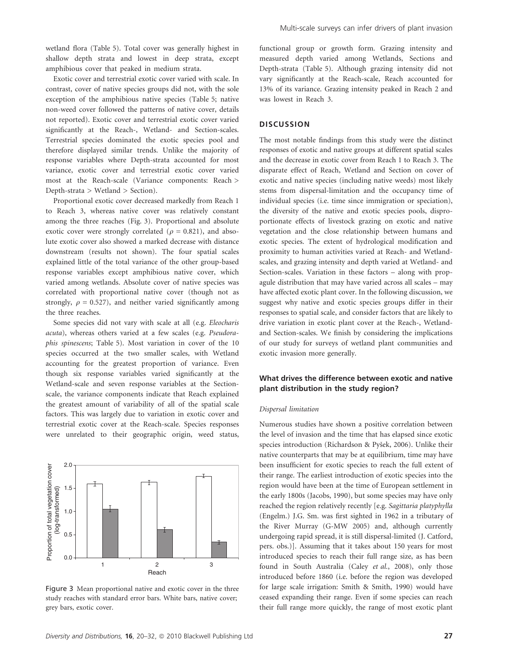wetland flora (Table 5). Total cover was generally highest in shallow depth strata and lowest in deep strata, except amphibious cover that peaked in medium strata.

Exotic cover and terrestrial exotic cover varied with scale. In contrast, cover of native species groups did not, with the sole exception of the amphibious native species (Table 5; native non-weed cover followed the patterns of native cover, details not reported). Exotic cover and terrestrial exotic cover varied significantly at the Reach-, Wetland- and Section-scales. Terrestrial species dominated the exotic species pool and therefore displayed similar trends. Unlike the majority of response variables where Depth-strata accounted for most variance, exotic cover and terrestrial exotic cover varied most at the Reach-scale (Variance components: Reach > Depth-strata > Wetland > Section).

Proportional exotic cover decreased markedly from Reach 1 to Reach 3, whereas native cover was relatively constant among the three reaches (Fig. 3). Proportional and absolute exotic cover were strongly correlated ( $\rho = 0.821$ ), and absolute exotic cover also showed a marked decrease with distance downstream (results not shown). The four spatial scales explained little of the total variance of the other group-based response variables except amphibious native cover, which varied among wetlands. Absolute cover of native species was correlated with proportional native cover (though not as strongly,  $\rho = 0.527$ ), and neither varied significantly among the three reaches.

Some species did not vary with scale at all (e.g. Eleocharis acuta), whereas others varied at a few scales (e.g. Pseudoraphis spinescens; Table 5). Most variation in cover of the 10 species occurred at the two smaller scales, with Wetland accounting for the greatest proportion of variance. Even though six response variables varied significantly at the Wetland-scale and seven response variables at the Sectionscale, the variance components indicate that Reach explained the greatest amount of variability of all of the spatial scale factors. This was largely due to variation in exotic cover and terrestrial exotic cover at the Reach-scale. Species responses were unrelated to their geographic origin, weed status,



Figure 3 Mean proportional native and exotic cover in the three study reaches with standard error bars. White bars, native cover; grey bars, exotic cover.

functional group or growth form. Grazing intensity and measured depth varied among Wetlands, Sections and Depth-strata (Table 5). Although grazing intensity did not vary significantly at the Reach-scale, Reach accounted for 13% of its variance. Grazing intensity peaked in Reach 2 and was lowest in Reach 3.

# **DISCUSSION**

The most notable findings from this study were the distinct responses of exotic and native groups at different spatial scales and the decrease in exotic cover from Reach 1 to Reach 3. The disparate effect of Reach, Wetland and Section on cover of exotic and native species (including native weeds) most likely stems from dispersal-limitation and the occupancy time of individual species (i.e. time since immigration or speciation), the diversity of the native and exotic species pools, disproportionate effects of livestock grazing on exotic and native vegetation and the close relationship between humans and exotic species. The extent of hydrological modification and proximity to human activities varied at Reach- and Wetlandscales, and grazing intensity and depth varied at Wetland- and Section-scales. Variation in these factors – along with propagule distribution that may have varied across all scales – may have affected exotic plant cover. In the following discussion, we suggest why native and exotic species groups differ in their responses to spatial scale, and consider factors that are likely to drive variation in exotic plant cover at the Reach-, Wetlandand Section-scales. We finish by considering the implications of our study for surveys of wetland plant communities and exotic invasion more generally.

# What drives the difference between exotic and native plant distribution in the study region?

#### Dispersal limitation

Numerous studies have shown a positive correlation between the level of invasion and the time that has elapsed since exotic species introduction (Richardson & Pyšek, 2006). Unlike their native counterparts that may be at equilibrium, time may have been insufficient for exotic species to reach the full extent of their range. The earliest introduction of exotic species into the region would have been at the time of European settlement in the early 1800s (Jacobs, 1990), but some species may have only reached the region relatively recently [e.g. Sagittaria platyphylla (Engelm.) J.G. Sm. was first sighted in 1962 in a tributary of the River Murray (G-MW 2005) and, although currently undergoing rapid spread, it is still dispersal-limited (J. Catford, pers. obs.)]. Assuming that it takes about 150 years for most introduced species to reach their full range size, as has been found in South Australia (Caley et al., 2008), only those introduced before 1860 (i.e. before the region was developed for large scale irrigation: Smith & Smith, 1990) would have ceased expanding their range. Even if some species can reach their full range more quickly, the range of most exotic plant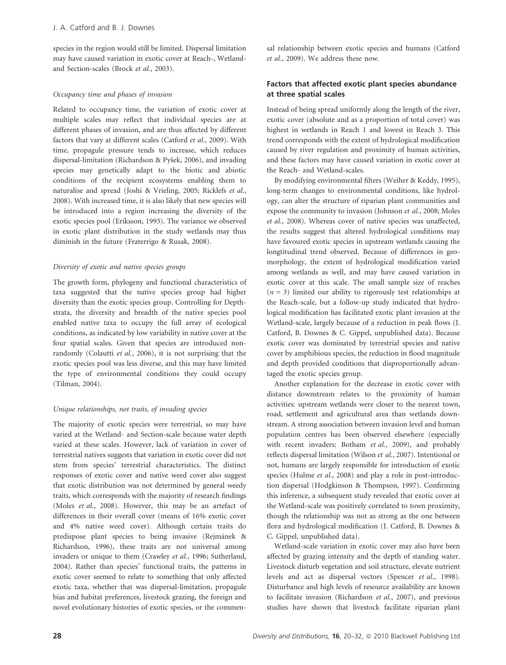species in the region would still be limited. Dispersal limitation may have caused variation in exotic cover at Reach-, Wetlandand Section-scales (Brock et al., 2003).

## Occupancy time and phases of invasion

Related to occupancy time, the variation of exotic cover at multiple scales may reflect that individual species are at different phases of invasion, and are thus affected by different factors that vary at different scales (Catford et al., 2009). With time, propagule pressure tends to increase, which reduces dispersal-limitation (Richardson & Pyšek, 2006), and invading species may genetically adapt to the biotic and abiotic conditions of the recipient ecosystems enabling them to naturalise and spread (Joshi & Vrieling, 2005; Ricklefs et al., 2008). With increased time, it is also likely that new species will be introduced into a region increasing the diversity of the exotic species pool (Eriksson, 1993). The variance we observed in exotic plant distribution in the study wetlands may thus diminish in the future (Fraterrigo & Rusak, 2008).

#### Diversity of exotic and native species groups

The growth form, phylogeny and functional characteristics of taxa suggested that the native species group had higher diversity than the exotic species group. Controlling for Depthstrata, the diversity and breadth of the native species pool enabled native taxa to occupy the full array of ecological conditions, as indicated by low variability in native cover at the four spatial scales. Given that species are introduced nonrandomly (Colautti et al., 2006), it is not surprising that the exotic species pool was less diverse, and this may have limited the type of environmental conditions they could occupy (Tilman, 2004).

## Unique relationships, not traits, of invading species

The majority of exotic species were terrestrial, so may have varied at the Wetland- and Section-scale because water depth varied at these scales. However, lack of variation in cover of terrestrial natives suggests that variation in exotic cover did not stem from species' terrestrial characteristics. The distinct responses of exotic cover and native weed cover also suggest that exotic distribution was not determined by general weedy traits, which corresponds with the majority of research findings (Moles et al., 2008). However, this may be an artefact of differences in their overall cover (means of 16% exotic cover and 4% native weed cover). Although certain traits do predispose plant species to being invasive (Rejmánek & Richardson, 1996), these traits are not universal among invaders or unique to them (Crawley et al., 1996; Sutherland, 2004). Rather than species' functional traits, the patterns in exotic cover seemed to relate to something that only affected exotic taxa, whether that was dispersal-limitation, propagule bias and habitat preferences, livestock grazing, the foreign and novel evolutionary histories of exotic species, or the commensal relationship between exotic species and humans (Catford et al., 2009). We address these now.

## Factors that affected exotic plant species abundance at three spatial scales

Instead of being spread uniformly along the length of the river, exotic cover (absolute and as a proportion of total cover) was highest in wetlands in Reach 1 and lowest in Reach 3. This trend corresponds with the extent of hydrological modification caused by river regulation and proximity of human activities, and these factors may have caused variation in exotic cover at the Reach- and Wetland-scales.

By modifying environmental filters (Weiher & Keddy, 1995), long-term changes to environmental conditions, like hydrology, can alter the structure of riparian plant communities and expose the community to invasion (Johnson et al., 2008; Moles et al., 2008). Whereas cover of native species was unaffected, the results suggest that altered hydrological conditions may have favoured exotic species in upstream wetlands causing the longtitudinal trend observed. Because of differences in geomorphology, the extent of hydrological modification varied among wetlands as well, and may have caused variation in exotic cover at this scale. The small sample size of reaches  $(n = 3)$  limited our ability to rigorously test relationships at the Reach-scale, but a follow-up study indicated that hydrological modification has facilitated exotic plant invasion at the Wetland-scale, largely because of a reduction in peak flows (J. Catford, B. Downes & C. Gippel, unpublished data). Because exotic cover was dominated by terrestrial species and native cover by amphibious species, the reduction in flood magnitude and depth provided conditions that disproportionally advantaged the exotic species group.

Another explanation for the decrease in exotic cover with distance downstream relates to the proximity of human activities: upstream wetlands were closer to the nearest town, road, settlement and agricultural area than wetlands downstream. A strong association between invasion level and human population centres has been observed elsewhere (especially with recent invaders: Botham et al., 2009), and probably reflects dispersal limitation (Wilson et al., 2007). Intentional or not, humans are largely responsible for introduction of exotic species (Hulme et al., 2008) and play a role in post-introduction dispersal (Hodgkinson & Thompson, 1997). Confirming this inference, a subsequent study revealed that exotic cover at the Wetland-scale was positively correlated to town proximity, though the relationship was not as strong as the one between flora and hydrological modification (J. Catford, B. Downes & C. Gippel, unpublished data).

Wetland-scale variation in exotic cover may also have been affected by grazing intensity and the depth of standing water. Livestock disturb vegetation and soil structure, elevate nutrient levels and act as dispersal vectors (Spencer et al., 1998). Disturbance and high levels of resource availability are known to facilitate invasion (Richardson et al., 2007), and previous studies have shown that livestock facilitate riparian plant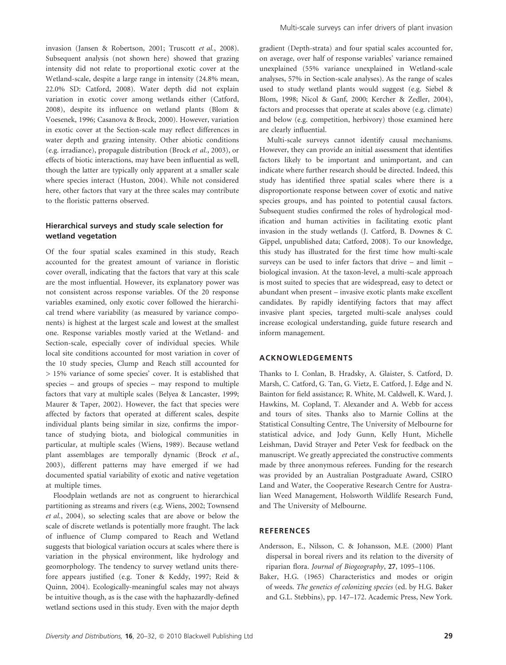invasion (Jansen & Robertson, 2001; Truscott et al., 2008). Subsequent analysis (not shown here) showed that grazing intensity did not relate to proportional exotic cover at the Wetland-scale, despite a large range in intensity (24.8% mean, 22.0% SD: Catford, 2008). Water depth did not explain variation in exotic cover among wetlands either (Catford, 2008), despite its influence on wetland plants (Blom & Voesenek, 1996; Casanova & Brock, 2000). However, variation in exotic cover at the Section-scale may reflect differences in water depth and grazing intensity. Other abiotic conditions (e.g. irradiance), propagule distribution (Brock et al., 2003), or effects of biotic interactions, may have been influential as well, though the latter are typically only apparent at a smaller scale where species interact (Huston, 2004). While not considered here, other factors that vary at the three scales may contribute to the floristic patterns observed.

# Hierarchical surveys and study scale selection for wetland vegetation

Of the four spatial scales examined in this study, Reach accounted for the greatest amount of variance in floristic cover overall, indicating that the factors that vary at this scale are the most influential. However, its explanatory power was not consistent across response variables. Of the 20 response variables examined, only exotic cover followed the hierarchical trend where variability (as measured by variance components) is highest at the largest scale and lowest at the smallest one. Response variables mostly varied at the Wetland- and Section-scale, especially cover of individual species. While local site conditions accounted for most variation in cover of the 10 study species, Clump and Reach still accounted for > 15% variance of some species' cover. It is established that species – and groups of species – may respond to multiple factors that vary at multiple scales (Belyea & Lancaster, 1999; Maurer & Taper, 2002). However, the fact that species were affected by factors that operated at different scales, despite individual plants being similar in size, confirms the importance of studying biota, and biological communities in particular, at multiple scales (Wiens, 1989). Because wetland plant assemblages are temporally dynamic (Brock et al., 2003), different patterns may have emerged if we had documented spatial variability of exotic and native vegetation at multiple times.

Floodplain wetlands are not as congruent to hierarchical partitioning as streams and rivers (e.g. Wiens, 2002; Townsend et al., 2004), so selecting scales that are above or below the scale of discrete wetlands is potentially more fraught. The lack of influence of Clump compared to Reach and Wetland suggests that biological variation occurs at scales where there is variation in the physical environment, like hydrology and geomorphology. The tendency to survey wetland units therefore appears justified (e.g. Toner & Keddy, 1997; Reid & Quinn, 2004). Ecologically-meaningful scales may not always be intuitive though, as is the case with the haphazardly-defined wetland sections used in this study. Even with the major depth gradient (Depth-strata) and four spatial scales accounted for, on average, over half of response variables' variance remained unexplained (55% variance unexplained in Wetland-scale analyses, 57% in Section-scale analyses). As the range of scales used to study wetland plants would suggest (e.g. Siebel & Blom, 1998; Nicol & Ganf, 2000; Kercher & Zedler, 2004), factors and processes that operate at scales above (e.g. climate) and below (e.g. competition, herbivory) those examined here are clearly influential.

Multi-scale surveys cannot identify causal mechanisms. However, they can provide an initial assessment that identifies factors likely to be important and unimportant, and can indicate where further research should be directed. Indeed, this study has identified three spatial scales where there is a disproportionate response between cover of exotic and native species groups, and has pointed to potential causal factors. Subsequent studies confirmed the roles of hydrological modification and human activities in facilitating exotic plant invasion in the study wetlands (J. Catford, B. Downes & C. Gippel, unpublished data; Catford, 2008). To our knowledge, this study has illustrated for the first time how multi-scale surveys can be used to infer factors that drive – and limit – biological invasion. At the taxon-level, a multi-scale approach is most suited to species that are widespread, easy to detect or abundant when present – invasive exotic plants make excellent candidates. By rapidly identifying factors that may affect invasive plant species, targeted multi-scale analyses could increase ecological understanding, guide future research and inform management.

# ACKNOWLEDGEMENTS

Thanks to I. Conlan, B. Hradsky, A. Glaister, S. Catford, D. Marsh, C. Catford, G. Tan, G. Vietz, E. Catford, J. Edge and N. Bainton for field assistance; R. White, M. Caldwell, K. Ward, J. Hawkins, M. Copland, T. Alexander and A. Webb for access and tours of sites. Thanks also to Marnie Collins at the Statistical Consulting Centre, The University of Melbourne for statistical advice, and Jody Gunn, Kelly Hunt, Michelle Leishman, David Strayer and Peter Vesk for feedback on the manuscript. We greatly appreciated the constructive comments made by three anonymous referees. Funding for the research was provided by an Australian Postgraduate Award, CSIRO Land and Water, the Cooperative Research Centre for Australian Weed Management, Holsworth Wildlife Research Fund, and The University of Melbourne.

## **REFERENCES**

- Andersson, E., Nilsson, C. & Johansson, M.E. (2000) Plant dispersal in boreal rivers and its relation to the diversity of riparian flora. Journal of Biogeography, 27, 1095–1106.
- Baker, H.G. (1965) Characteristics and modes or origin of weeds. The genetics of colonizing species (ed. by H.G. Baker and G.L. Stebbins), pp. 147–172. Academic Press, New York.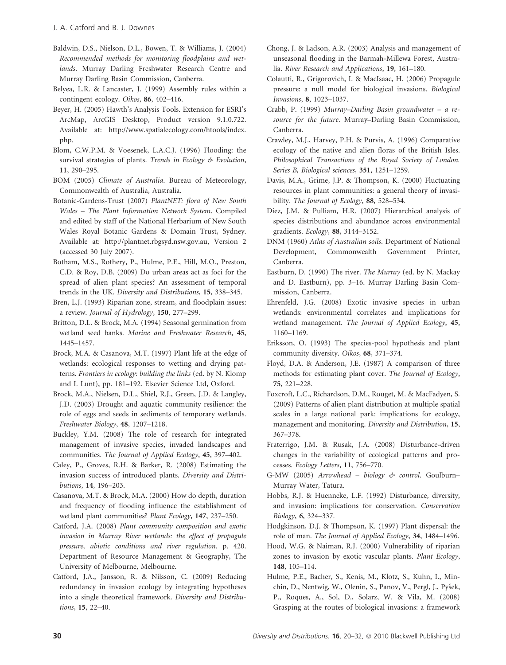- Baldwin, D.S., Nielson, D.L., Bowen, T. & Williams, J. (2004) Recommended methods for monitoring floodplains and wetlands. Murray Darling Freshwater Research Centre and Murray Darling Basin Commission, Canberra.
- Belyea, L.R. & Lancaster, J. (1999) Assembly rules within a contingent ecology. Oikos, 86, 402–416.
- Beyer, H. (2005) Hawth's Analysis Tools. Extension for ESRI's ArcMap, ArcGIS Desktop, Product version 9.1.0.722. Available at: http://www.spatialecology.com/htools/index. php.
- Blom, C.W.P.M. & Voesenek, L.A.C.J. (1996) Flooding: the survival strategies of plants. Trends in Ecology & Evolution, 11, 290–295.
- BOM (2005) Climate of Australia. Bureau of Meteorology, Commonwealth of Australia, Australia.
- Botanic-Gardens-Trust (2007) PlantNET: flora of New South Wales – The Plant Information Network System. Compiled and edited by staff of the National Herbarium of New South Wales Royal Botanic Gardens & Domain Trust, Sydney. Available at: http://plantnet.rbgsyd.nsw.gov.au, Version 2 (accessed 30 July 2007).
- Botham, M.S., Rothery, P., Hulme, P.E., Hill, M.O., Preston, C.D. & Roy, D.B. (2009) Do urban areas act as foci for the spread of alien plant species? An assessment of temporal trends in the UK. Diversity and Distributions, 15, 338–345.

Bren, L.J. (1993) Riparian zone, stream, and floodplain issues: a review. Journal of Hydrology, 150, 277–299.

- Britton, D.L. & Brock, M.A. (1994) Seasonal germination from wetland seed banks. Marine and Freshwater Research, 45, 1445–1457.
- Brock, M.A. & Casanova, M.T. (1997) Plant life at the edge of wetlands: ecological responses to wetting and drying patterns. Frontiers in ecology: building the links (ed. by N. Klomp and I. Lunt), pp. 181–192. Elsevier Science Ltd, Oxford.
- Brock, M.A., Nielsen, D.L., Shiel, R.J., Green, J.D. & Langley, J.D. (2003) Drought and aquatic community resilience: the role of eggs and seeds in sediments of temporary wetlands. Freshwater Biology, 48, 1207–1218.
- Buckley, Y.M. (2008) The role of research for integrated management of invasive species, invaded landscapes and communities. The Journal of Applied Ecology, 45, 397–402.
- Caley, P., Groves, R.H. & Barker, R. (2008) Estimating the invasion success of introduced plants. Diversity and Distributions, 14, 196–203.
- Casanova, M.T. & Brock, M.A. (2000) How do depth, duration and frequency of flooding influence the establishment of wetland plant communities? Plant Ecology, 147, 237–250.
- Catford, J.A. (2008) Plant community composition and exotic invasion in Murray River wetlands: the effect of propagule pressure, abiotic conditions and river regulation. p. 420. Department of Resource Management & Geography, The University of Melbourne, Melbourne.
- Catford, J.A., Jansson, R. & Nilsson, C. (2009) Reducing redundancy in invasion ecology by integrating hypotheses into a single theoretical framework. Diversity and Distributions, 15, 22–40.
- Chong, J. & Ladson, A.R. (2003) Analysis and management of unseasonal flooding in the Barmah-Millewa Forest, Australia. River Research and Applications, 19, 161–180.
- Colautti, R., Grigorovich, I. & MacIsaac, H. (2006) Propagule pressure: a null model for biological invasions. Biological Invasions, 8, 1023–1037.
- Crabb, P. (1999) Murray–Darling Basin groundwater a resource for the future. Murray–Darling Basin Commission, Canberra.
- Crawley, M.J., Harvey, P.H. & Purvis, A. (1996) Comparative ecology of the native and alien floras of the British Isles. Philosophical Transactions of the Royal Society of London. Series B, Biological sciences, 351, 1251–1259.
- Davis, M.A., Grime, J.P. & Thompson, K. (2000) Fluctuating resources in plant communities: a general theory of invasibility. The Journal of Ecology, 88, 528-534.
- Diez, J.M. & Pulliam, H.R. (2007) Hierarchical analysis of species distributions and abundance across environmental gradients. Ecology, 88, 3144–3152.
- DNM (1960) Atlas of Australian soils. Department of National Development, Commonwealth Government Printer, Canberra.
- Eastburn, D. (1990) The river. The Murray (ed. by N. Mackay and D. Eastburn), pp. 3–16. Murray Darling Basin Commission, Canberra.
- Ehrenfeld, J.G. (2008) Exotic invasive species in urban wetlands: environmental correlates and implications for wetland management. The Journal of Applied Ecology, 45, 1160–1169.
- Eriksson, O. (1993) The species-pool hypothesis and plant community diversity. Oikos, 68, 371–374.
- Floyd, D.A. & Anderson, J.E. (1987) A comparison of three methods for estimating plant cover. The Journal of Ecology, 75, 221–228.
- Foxcroft, L.C., Richardson, D.M., Rouget, M. & MacFadyen, S. (2009) Patterns of alien plant distribution at multiple spatial scales in a large national park: implications for ecology, management and monitoring. Diversity and Distribution, 15, 367–378.
- Fraterrigo, J.M. & Rusak, J.A. (2008) Disturbance-driven changes in the variability of ecological patterns and processes. Ecology Letters, 11, 756–770.
- G-MW (2005) Arrowhead biology & control. Goulburn– Murray Water, Tatura.
- Hobbs, R.J. & Huenneke, L.F. (1992) Disturbance, diversity, and invasion: implications for conservation. Conservation Biology, 6, 324–337.
- Hodgkinson, D.J. & Thompson, K. (1997) Plant dispersal: the role of man. The Journal of Applied Ecology, 34, 1484–1496.
- Hood, W.G. & Naiman, R.J. (2000) Vulnerability of riparian zones to invasion by exotic vascular plants. Plant Ecology, 148, 105–114.
- Hulme, P.E., Bacher, S., Kenis, M., Klotz, S., Kuhn, I., Minchin, D., Nentwig, W., Olenin, S., Panov, V., Pergl, J., Pyšek, P., Roques, A., Sol, D., Solarz, W. & Vila, M. (2008) Grasping at the routes of biological invasions: a framework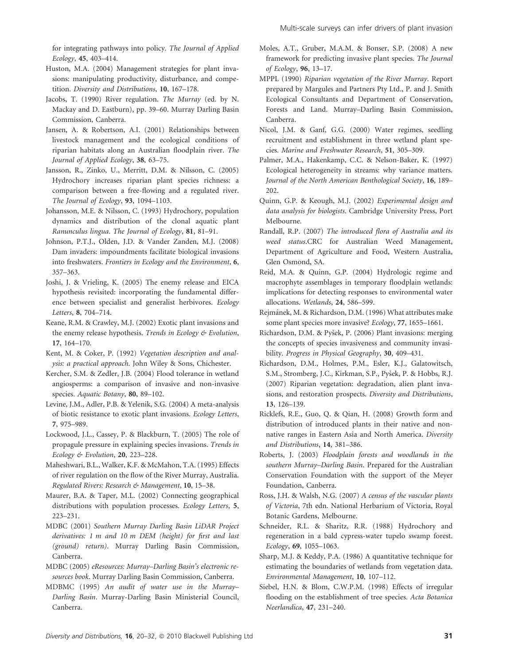for integrating pathways into policy. The Journal of Applied Ecology, 45, 403–414.

- Huston, M.A. (2004) Management strategies for plant invasions: manipulating productivity, disturbance, and competition. Diversity and Distributions, 10, 167–178.
- Jacobs, T. (1990) River regulation. The Murray (ed. by N. Mackay and D. Eastburn), pp. 39–60. Murray Darling Basin Commission, Canberra.
- Jansen, A. & Robertson, A.I. (2001) Relationships between livestock management and the ecological conditions of riparian habitats along an Australian floodplain river. The Journal of Applied Ecology, 38, 63–75.
- Jansson, R., Zinko, U., Merritt, D.M. & Nilsson, C. (2005) Hydrochory increases riparian plant species richness: a comparison between a free-flowing and a regulated river. The Journal of Ecology, 93, 1094–1103.
- Johansson, M.E. & Nilsson, C. (1993) Hydrochory, population dynamics and distribution of the clonal aquatic plant Ranunculus lingua. The Journal of Ecology, 81, 81–91.
- Johnson, P.T.J., Olden, J.D. & Vander Zanden, M.J. (2008) Dam invaders: impoundments facilitate biological invasions into freshwaters. Frontiers in Ecology and the Environment, 6, 357–363.
- Joshi, J. & Vrieling, K. (2005) The enemy release and EICA hypothesis revisited: incorporating the fundamental difference between specialist and generalist herbivores. Ecology Letters, 8, 704–714.
- Keane, R.M. & Crawley, M.J. (2002) Exotic plant invasions and the enemy release hypothesis. Trends in Ecology & Evolution, 17, 164–170.
- Kent, M. & Coker, P. (1992) Vegetation description and analysis: a practical approach. John Wiley & Sons, Chichester.
- Kercher, S.M. & Zedler, J.B. (2004) Flood tolerance in wetland angiosperms: a comparison of invasive and non-invasive species. Aquatic Botany, 80, 89-102.
- Levine, J.M., Adler, P.B. & Yelenik, S.G. (2004) A meta-analysis of biotic resistance to exotic plant invasions. Ecology Letters, 7, 975–989.
- Lockwood, J.L., Cassey, P. & Blackburn, T. (2005) The role of propagule pressure in explaining species invasions. Trends in Ecology & Evolution, 20, 223–228.
- Maheshwari, B.L., Walker, K.F. & McMahon, T.A. (1995) Effects of river regulation on the flow of the River Murray, Australia. Regulated Rivers: Research & Management, 10, 15–38.
- Maurer, B.A. & Taper, M.L. (2002) Connecting geographical distributions with population processes. Ecology Letters, 5, 223–231.
- MDBC (2001) Southern Murray Darling Basin LiDAR Project derivatives: 1 m and 10 m DEM (height) for first and last (ground) return). Murray Darling Basin Commission, Canberra.
- MDBC (2005) eResources: Murray–Darling Basin's electronic resources book. Murray Darling Basin Commission, Canberra.
- MDBMC (1995) An audit of water use in the Murray– Darling Basin. Murray-Darling Basin Ministerial Council, Canberra.
- Moles, A.T., Gruber, M.A.M. & Bonser, S.P. (2008) A new framework for predicting invasive plant species. The Journal of Ecology, 96, 13–17.
- MPPL (1990) Riparian vegetation of the River Murray. Report prepared by Margules and Partners Pty Ltd., P. and J. Smith Ecological Consultants and Department of Conservation, Forests and Land. Murray–Darling Basin Commission, Canberra.
- Nicol, J.M. & Ganf, G.G. (2000) Water regimes, seedling recruitment and establishment in three wetland plant species. Marine and Freshwater Research, 51, 305–309.
- Palmer, M.A., Hakenkamp, C.C. & Nelson-Baker, K. (1997) Ecological heterogeneity in streams: why variance matters. Journal of the North American Benthological Society, 16, 189– 202.
- Quinn, G.P. & Keough, M.J. (2002) Experimental design and data analysis for biologists. Cambridge University Press, Port Melbourne.
- Randall, R.P. (2007) The introduced flora of Australia and its weed status.CRC for Australian Weed Management, Department of Agriculture and Food, Western Australia, Glen Osmond, SA.
- Reid, M.A. & Quinn, G.P. (2004) Hydrologic regime and macrophyte assemblages in temporary floodplain wetlands: implications for detecting responses to environmental water allocations. Wetlands, 24, 586–599.
- Rejma´nek, M. & Richardson, D.M. (1996) What attributes make some plant species more invasive? Ecology, 77, 1655–1661.
- Richardson, D.M. & Pyšek, P. (2006) Plant invasions: merging the concepts of species invasiveness and community invasibility. Progress in Physical Geography, 30, 409–431.
- Richardson, D.M., Holmes, P.M., Esler, K.J., Galatowitsch, S.M., Stromberg, J.C., Kirkman, S.P., Pyšek, P. & Hobbs, R.J. (2007) Riparian vegetation: degradation, alien plant invasions, and restoration prospects. Diversity and Distributions, 13, 126–139.
- Ricklefs, R.E., Guo, Q. & Qian, H. (2008) Growth form and distribution of introduced plants in their native and nonnative ranges in Eastern Asia and North America. Diversity and Distributions, 14, 381–386.
- Roberts, J. (2003) Floodplain forests and woodlands in the southern Murray–Darling Basin. Prepared for the Australian Conservation Foundation with the support of the Meyer Foundation, Canberra.
- Ross, J.H. & Walsh, N.G. (2007) A census of the vascular plants of Victoria, 7th edn. National Herbarium of Victoria, Royal Botanic Gardens, Melbourne.
- Schneider, R.L. & Sharitz, R.R. (1988) Hydrochory and regeneration in a bald cypress-water tupelo swamp forest. Ecology, 69, 1055–1063.
- Sharp, M.J. & Keddy, P.A. (1986) A quantitative technique for estimating the boundaries of wetlands from vegetation data. Environmental Management, 10, 107–112.
- Siebel, H.N. & Blom, C.W.P.M. (1998) Effects of irregular flooding on the establishment of tree species. Acta Botanica Neerlandica, 47, 231–240.